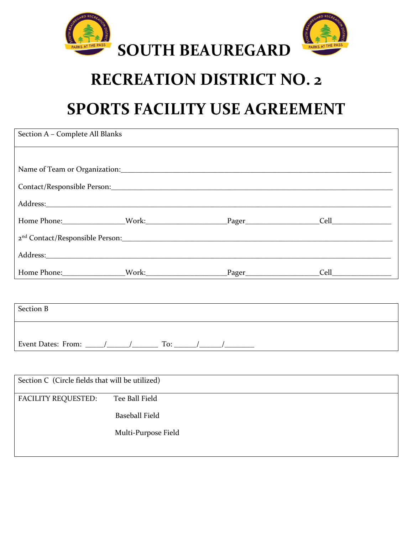

## **RECREATION DISTRICT NO. 2**

# **SPORTS FACILITY USE AGREEMENT**

| Section A - Complete All Blanks                 |                       |  |  |  |  |
|-------------------------------------------------|-----------------------|--|--|--|--|
|                                                 |                       |  |  |  |  |
|                                                 |                       |  |  |  |  |
|                                                 |                       |  |  |  |  |
|                                                 |                       |  |  |  |  |
|                                                 |                       |  |  |  |  |
|                                                 |                       |  |  |  |  |
|                                                 |                       |  |  |  |  |
|                                                 |                       |  |  |  |  |
|                                                 |                       |  |  |  |  |
| <b>Section B</b>                                |                       |  |  |  |  |
|                                                 |                       |  |  |  |  |
|                                                 |                       |  |  |  |  |
|                                                 |                       |  |  |  |  |
| Section C (Circle fields that will be utilized) |                       |  |  |  |  |
| <b>FACILITY REQUESTED:</b>                      | Tee Ball Field        |  |  |  |  |
|                                                 | <b>Baseball Field</b> |  |  |  |  |
|                                                 | Multi-Purpose Field   |  |  |  |  |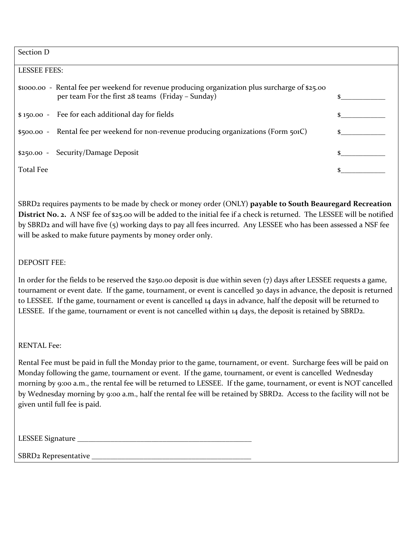Section D

## LESSEE FEES:

\$1000.00 - Rental fee per weekend for revenue producing organization plus surcharge of \$25.00 per team For the first  $28$  teams (Friday – Sunday)

 $$ 150.00 - Fee for each additional day for fields$   $$ 150.00 - Fee for each additional day for fields$ 

\$500.00 - Rental fee per weekend for non-revenue producing organizations (Form 501C) \$

\$250.00 - Security/Damage Deposit \$

Total Fee states of the state of the state of the state of the state of the state of the state of the state of the state of the state of the state of the state of the state of the state of the state of the state of the sta

SBRD2 requires payments to be made by check or money order (ONLY) **payable to South Beauregard Recreation District No. 2.** A NSF fee of \$25.00 will be added to the initial fee if a check is returned. The LESSEE will be notified by SBRD2 and will have five (5) working days to pay all fees incurred. Any LESSEE who has been assessed a NSF fee will be asked to make future payments by money order only.

## DEPOSIT FEE:

In order for the fields to be reserved the  $$250.00$  deposit is due within seven (7) days after LESSEE requests a game, tournament or event date. If the game, tournament, or event is cancelled 30 days in advance, the deposit is returned to LESSEE. If the game, tournament or event is cancelled 14 days in advance, half the deposit will be returned to LESSEE. If the game, tournament or event is not cancelled within 14 days, the deposit is retained by SBRD2.

RENTAL Fee:

Rental Fee must be paid in full the Monday prior to the game, tournament, or event. Surcharge fees will be paid on Monday following the game, tournament or event. If the game, tournament, or event is cancelled Wednesday morning by 9:00 a.m., the rental fee will be returned to LESSEE. If the game, tournament, or event is NOT cancelled by Wednesday morning by 9:00 a.m., half the rental fee will be retained by SBRD2. Access to the facility will not be given until full fee is paid.

| <b>LESSEE Signature</b> |  |
|-------------------------|--|
|                         |  |

SBRD2 Representative \_\_\_\_\_\_\_\_\_\_\_\_\_\_\_\_\_\_\_\_\_\_\_\_\_\_\_\_\_\_\_\_\_\_\_\_\_\_\_\_\_\_\_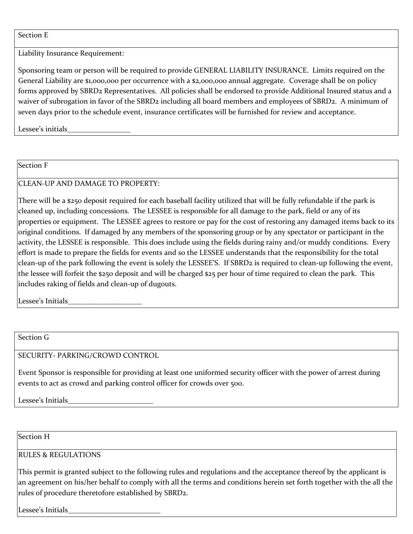#### Section E

Liability Insurance Requirement:

Sponsoring team or person will be required to provide GENERAL LIABILITY INSURANCE. Limits required on the General Liability are \$1,000,000 per occurrence with a \$2,000,000 annual aggregate. Coverage shall be on policy forms approved by SBRD2 Representatives. All policies shall be endorsed to provide Additional Insured status and a waiver of subrogation in favor of the SBRD2 including all board members and employees of SBRD2. A minimum of seven days prior to the schedule event, insurance certificates will be furnished for review and acceptance.

Lessee's initials

Section F

CLEAN-UP AND DAMAGE TO PROPERTY:

There will be a \$250 deposit required for each baseball facility utilized that will be fully refundable if the park is cleaned up, including concessions. The LESSEE is responsible for all damage to the park, field or any of its properties or equipment. The LESSEE agrees to restore or pay for the cost of restoring any damaged items back to its original conditions. If damaged by any members of the sponsoring group or by any spectator or participant in the activity, the LESSEE is responsible. This does include using the fields during rainy and/or muddy conditions. Every effort is made to prepare the fields for events and so the LESSEE understands that the responsibility for the total clean-up of the park following the event is solely the LESSEE'S. If SBRD2 is required to clean-up following the event, the lessee will forfeit the \$250 deposit and will be charged \$25 per hour of time required to clean the park. This includes raking of fields and clean-up of dugouts.

Lessee's Initials

Section G

## SECURITY- PARKING/CROWD CONTROL

Event Sponsor is responsible for providing at least one uniformed security officer with the power of arrest during events to act as crowd and parking control officer for crowds over 500.

Lessee's Initials

Section H

## RULES & REGULATIONS

This permit is granted subject to the following rules and regulations and the acceptance thereof by the applicant is an agreement on his/her behalf to comply with all the terms and conditions herein set forth together with the all the rules of procedure theretofore established by SBRD2.

Lessee's Initials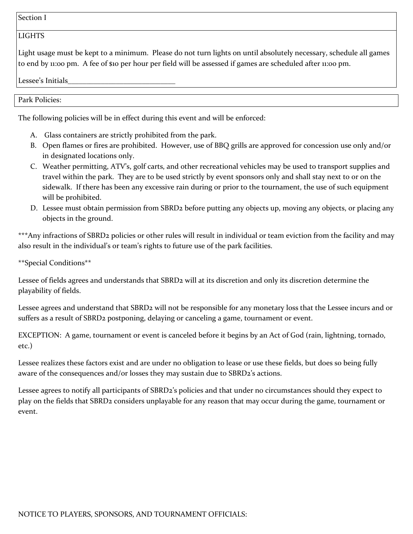Section I

#### LIGHTS

Light usage must be kept to a minimum. Please do not turn lights on until absolutely necessary, schedule all games to end by 11:00 pm. A fee of \$10 per hour per field will be assessed if games are scheduled after 11:00 pm.

Lessee's Initials

Park Policies:

The following policies will be in effect during this event and will be enforced:

- A. Glass containers are strictly prohibited from the park.
- B. Open flames or fires are prohibited. However, use of BBQ grills are approved for concession use only and/or in designated locations only.
- C. Weather permitting, ATV's, golf carts, and other recreational vehicles may be used to transport supplies and travel within the park. They are to be used strictly by event sponsors only and shall stay next to or on the sidewalk. If there has been any excessive rain during or prior to the tournament, the use of such equipment will be prohibited.
- D. Lessee must obtain permission from SBRD2 before putting any objects up, moving any objects, or placing any objects in the ground.

\*\*\*Any infractions of SBRD2 policies or other rules will result in individual or team eviction from the facility and may also result in the individual's or team's rights to future use of the park facilities.

\*\*Special Conditions\*\*

Lessee of fields agrees and understands that SBRD2 will at its discretion and only its discretion determine the playability of fields.

Lessee agrees and understand that SBRD2 will not be responsible for any monetary loss that the Lessee incurs and or suffers as a result of SBRD2 postponing, delaying or canceling a game, tournament or event.

EXCEPTION: A game, tournament or event is canceled before it begins by an Act of God (rain, lightning, tornado, etc.)

Lessee realizes these factors exist and are under no obligation to lease or use these fields, but does so being fully aware of the consequences and/or losses they may sustain due to SBRD2's actions.

Lessee agrees to notify all participants of SBRD2's policies and that under no circumstances should they expect to play on the fields that SBRD2 considers unplayable for any reason that may occur during the game, tournament or event.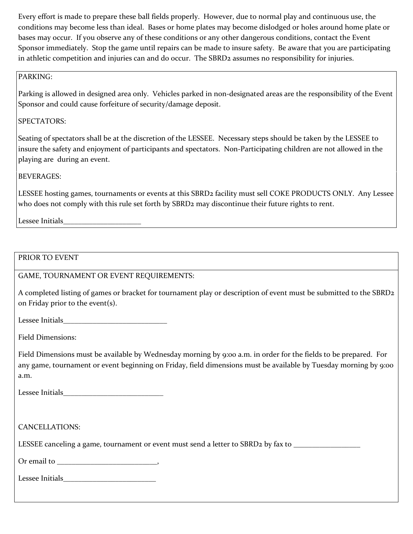Every effort is made to prepare these ball fields properly. However, due to normal play and continuous use, the conditions may become less than ideal. Bases or home plates may become dislodged or holes around home plate or bases may occur. If you observe any of these conditions or any other dangerous conditions, contact the Event Sponsor immediately. Stop the game until repairs can be made to insure safety. Be aware that you are participating in athletic competition and injuries can and do occur. The SBRD2 assumes no responsibility for injuries.

## PARKING:

Parking is allowed in designed area only. Vehicles parked in non-designated areas are the responsibility of the Event Sponsor and could cause forfeiture of security/damage deposit.

## SPECTATORS:

Seating of spectators shall be at the discretion of the LESSEE. Necessary steps should be taken by the LESSEE to insure the safety and enjoyment of participants and spectators. Non-Participating children are not allowed in the playing are during an event.

## BEVERAGES:

LESSEE hosting games, tournaments or events at this SBRD2 facility must sell COKE PRODUCTS ONLY. Any Lessee who does not comply with this rule set forth by SBRD2 may discontinue their future rights to rent.

Lessee Initials

## PRIOR TO EVENT

## GAME, TOURNAMENT OR EVENT REQUIREMENTS:

A completed listing of games or bracket for tournament play or description of event must be submitted to the SBRD2 on Friday prior to the event(s).

Lessee Initials

Field Dimensions:

Field Dimensions must be available by Wednesday morning by 9:00 a.m. in order for the fields to be prepared. For any game, tournament or event beginning on Friday, field dimensions must be available by Tuesday morning by 9:00 a.m.

Lessee Initials

CANCELLATIONS:

LESSEE canceling a game, tournament or event must send a letter to SBRD2 by fax to \_\_\_\_\_\_\_\_\_\_\_\_\_\_\_\_

Or email to  $\qquad \qquad$ 

Lessee Initials